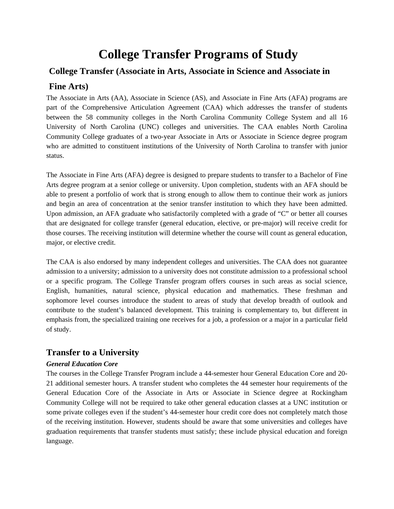# **College Transfer Programs of Study**

# **College Transfer (Associate in Arts, Associate in Science and Associate in**

# **Fine Arts)**

The Associate in Arts (AA), Associate in Science (AS), and Associate in Fine Arts (AFA) programs are part of the Comprehensive Articulation Agreement (CAA) which addresses the transfer of students between the 58 community colleges in the North Carolina Community College System and all 16 University of North Carolina (UNC) colleges and universities. The CAA enables North Carolina Community College graduates of a two-year Associate in Arts or Associate in Science degree program who are admitted to constituent institutions of the University of North Carolina to transfer with junior status.

The Associate in Fine Arts (AFA) degree is designed to prepare students to transfer to a Bachelor of Fine Arts degree program at a senior college or university. Upon completion, students with an AFA should be able to present a portfolio of work that is strong enough to allow them to continue their work as juniors and begin an area of concentration at the senior transfer institution to which they have been admitted. Upon admission, an AFA graduate who satisfactorily completed with a grade of "C" or better all courses that are designated for college transfer (general education, elective, or pre-major) will receive credit for those courses. The receiving institution will determine whether the course will count as general education, major, or elective credit.

The CAA is also endorsed by many independent colleges and universities. The CAA does not guarantee admission to a university; admission to a university does not constitute admission to a professional school or a specific program. The College Transfer program offers courses in such areas as social science, English, humanities, natural science, physical education and mathematics. These freshman and sophomore level courses introduce the student to areas of study that develop breadth of outlook and contribute to the student's balanced development. This training is complementary to, but different in emphasis from, the specialized training one receives for a job, a profession or a major in a particular field of study.

# **Transfer to a University**

## *General Education Core*

The courses in the College Transfer Program include a 44-semester hour General Education Core and 20- 21 additional semester hours. A transfer student who completes the 44 semester hour requirements of the General Education Core of the Associate in Arts or Associate in Science degree at Rockingham Community College will not be required to take other general education classes at a UNC institution or some private colleges even if the student's 44-semester hour credit core does not completely match those of the receiving institution. However, students should be aware that some universities and colleges have graduation requirements that transfer students must satisfy; these include physical education and foreign language.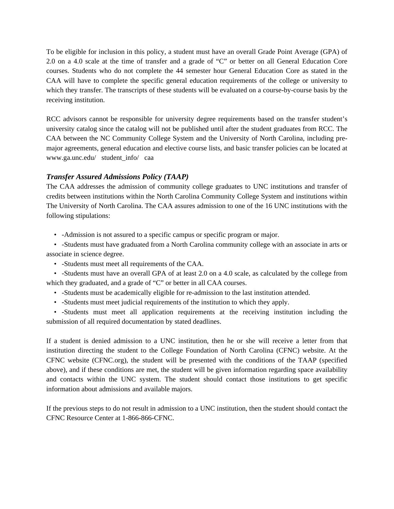To be eligible for inclusion in this policy, a student must have an overall Grade Point Average (GPA) of 2.0 on a 4.0 scale at the time of transfer and a grade of "C" or better on all General Education Core courses. Students who do not complete the 44 semester hour General Education Core as stated in the CAA will have to complete the specific general education requirements of the college or university to which they transfer. The transcripts of these students will be evaluated on a course-by-course basis by the receiving institution.

RCC advisors cannot be responsible for university degree requirements based on the transfer student's university catalog since the catalog will not be published until after the student graduates from RCC. The CAA between the NC Community College System and the University of North Carolina, including premajor agreements, general education and elective course lists, and basic transfer policies can be located at www.ga.unc.edu/ student\_info/ caa

## *Transfer Assured Admissions Policy (TAAP)*

The CAA addresses the admission of community college graduates to UNC institutions and transfer of credits between institutions within the North Carolina Community College System and institutions within The University of North Carolina. The CAA assures admission to one of the 16 UNC institutions with the following stipulations:

• -Admission is not assured to a specific campus or specific program or major.

 • -Students must have graduated from a North Carolina community college with an associate in arts or associate in science degree.

• -Students must meet all requirements of the CAA.

 • -Students must have an overall GPA of at least 2.0 on a 4.0 scale, as calculated by the college from which they graduated, and a grade of "C" or better in all CAA courses.

• -Students must be academically eligible for re-admission to the last institution attended.

• -Students must meet judicial requirements of the institution to which they apply.

 • -Students must meet all application requirements at the receiving institution including the submission of all required documentation by stated deadlines.

If a student is denied admission to a UNC institution, then he or she will receive a letter from that institution directing the student to the College Foundation of North Carolina (CFNC) website. At the CFNC website (CFNC.org), the student will be presented with the conditions of the TAAP (specified above), and if these conditions are met, the student will be given information regarding space availability and contacts within the UNC system. The student should contact those institutions to get specific information about admissions and available majors.

If the previous steps to do not result in admission to a UNC institution, then the student should contact the CFNC Resource Center at 1-866-866-CFNC.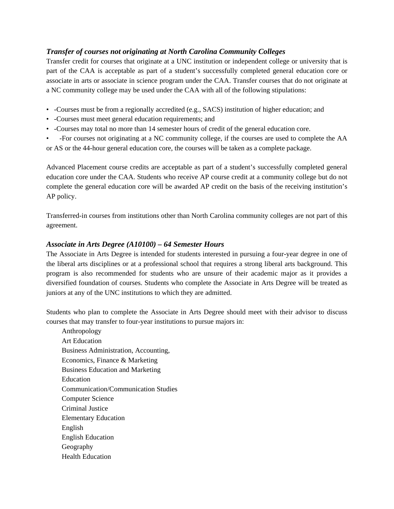# *Transfer of courses not originating at North Carolina Community Colleges*

Transfer credit for courses that originate at a UNC institution or independent college or university that is part of the CAA is acceptable as part of a student's successfully completed general education core or associate in arts or associate in science program under the CAA. Transfer courses that do not originate at a NC community college may be used under the CAA with all of the following stipulations:

- -Courses must be from a regionally accredited (e.g., SACS) institution of higher education; and
- -Courses must meet general education requirements; and
- -Courses may total no more than 14 semester hours of credit of the general education core.

• -For courses not originating at a NC community college, if the courses are used to complete the AA or AS or the 44-hour general education core, the courses will be taken as a complete package.

Advanced Placement course credits are acceptable as part of a student's successfully completed general education core under the CAA. Students who receive AP course credit at a community college but do not complete the general education core will be awarded AP credit on the basis of the receiving institution's AP policy.

Transferred-in courses from institutions other than North Carolina community colleges are not part of this agreement.

## *Associate in Arts Degree (A10100) – 64 Semester Hours*

The Associate in Arts Degree is intended for students interested in pursuing a four-year degree in one of the liberal arts disciplines or at a professional school that requires a strong liberal arts background. This program is also recommended for students who are unsure of their academic major as it provides a diversified foundation of courses. Students who complete the Associate in Arts Degree will be treated as juniors at any of the UNC institutions to which they are admitted.

Students who plan to complete the Associate in Arts Degree should meet with their advisor to discuss courses that may transfer to four-year institutions to pursue majors in:

Anthropology Art Education Business Administration, Accounting, Economics, Finance & Marketing Business Education and Marketing Education Communication/Communication Studies Computer Science Criminal Justice Elementary Education English English Education Geography Health Education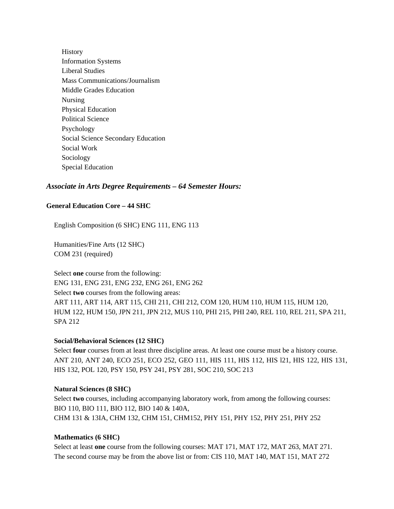**History** Information Systems Liberal Studies Mass Communications/Journalism Middle Grades Education Nursing Physical Education Political Science Psychology Social Science Secondary Education Social Work Sociology Special Education

## *Associate in Arts Degree Requirements – 64 Semester Hours:*

#### **General Education Core – 44 SHC**

English Composition (6 SHC) ENG 111, ENG 113

Humanities/Fine Arts (12 SHC) COM 231 (required)

Select **one** course from the following: ENG 131, ENG 231, ENG 232, ENG 261, ENG 262 Select **two** courses from the following areas: ART 111, ART 114, ART 115, CHI 211, CHI 212, COM 120, HUM 110, HUM 115, HUM 120, HUM 122, HUM 150, JPN 211, JPN 212, MUS 110, PHI 215, PHI 240, REL 110, REL 211, SPA 211, SPA 212

#### **Social/Behavioral Sciences (12 SHC)**

Select **four** courses from at least three discipline areas. At least one course must be a history course. ANT 210, ANT 240, ECO 251, ECO 252, GEO 111, HIS 111, HIS 112, HIS l21, HIS 122, HIS 131, HIS 132, POL 120, PSY 150, PSY 241, PSY 281, SOC 210, SOC 213

#### **Natural Sciences (8 SHC)**

Select **two** courses, including accompanying laboratory work, from among the following courses: BIO 110, BIO 111, BIO 112, BIO 140 & 140A, CHM 131 & 13IA, CHM 132, CHM 151, CHM152, PHY 151, PHY 152, PHY 251, PHY 252

#### **Mathematics (6 SHC)**

Select at least **one** course from the following courses: MAT 171, MAT 172, MAT 263, MAT 271. The second course may be from the above list or from: CIS 110, MAT 140, MAT 151, MAT 272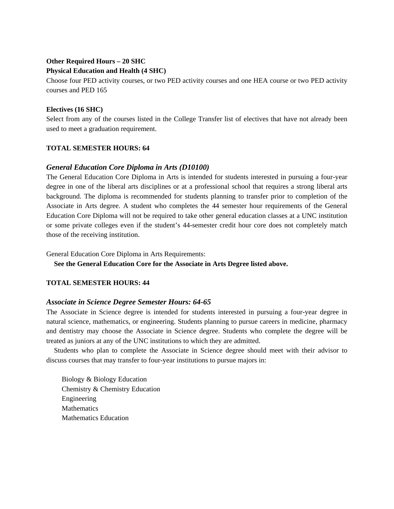## **Other Required Hours – 20 SHC Physical Education and Health (4 SHC)**

Choose four PED activity courses, or two PED activity courses and one HEA course or two PED activity courses and PED 165

## **Electives (16 SHC)**

Select from any of the courses listed in the College Transfer list of electives that have not already been used to meet a graduation requirement.

## **TOTAL SEMESTER HOURS: 64**

## *General Education Core Diploma in Arts (D10100)*

The General Education Core Diploma in Arts is intended for students interested in pursuing a four-year degree in one of the liberal arts disciplines or at a professional school that requires a strong liberal arts background. The diploma is recommended for students planning to transfer prior to completion of the Associate in Arts degree. A student who completes the 44 semester hour requirements of the General Education Core Diploma will not be required to take other general education classes at a UNC institution or some private colleges even if the student's 44-semester credit hour core does not completely match those of the receiving institution.

General Education Core Diploma in Arts Requirements:

**See the General Education Core for the Associate in Arts Degree listed above.** 

## **TOTAL SEMESTER HOURS: 44**

## *Associate in Science Degree Semester Hours: 64-65*

The Associate in Science degree is intended for students interested in pursuing a four-year degree in natural science, mathematics, or engineering. Students planning to pursue careers in medicine, pharmacy and dentistry may choose the Associate in Science degree. Students who complete the degree will be treated as juniors at any of the UNC institutions to which they are admitted.

 Students who plan to complete the Associate in Science degree should meet with their advisor to discuss courses that may transfer to four-year institutions to pursue majors in:

Biology & Biology Education Chemistry & Chemistry Education Engineering **Mathematics** Mathematics Education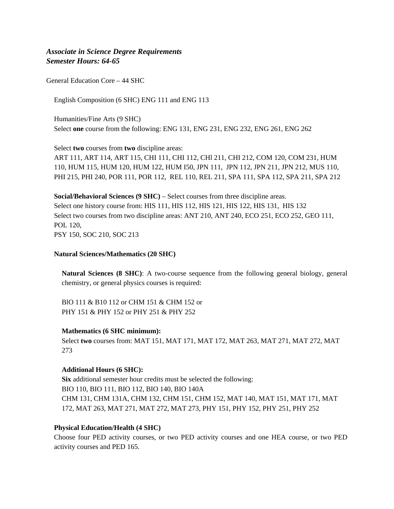## *Associate in Science Degree Requirements Semester Hours: 64-65*

General Education Core – 44 SHC

English Composition (6 SHC) ENG 111 and ENG 113

Humanities/Fine Arts (9 SHC) Select **one** course from the following: ENG 131, ENG 231, ENG 232, ENG 261, ENG 262

Select **two** courses from **two** discipline areas:

ART 111, ART 114, ART 115, CHI 111, CHI 112, CHl 211, CHI 212, COM 120, COM 231, HUM 110, HUM 115, HUM 120, HUM 122, HUM I50, JPN 111, JPN 112, JPN 211, JPN 212, MUS 110, PHI 215, PHI 240, POR 111, POR 112, REL 110, REL 211, SPA 111, SPA 112, SPA 211, SPA 212

**Social/Behavioral Sciences (9 SHC)** – Select courses from three discipline areas. Select one history course from: HIS 111, HIS 112, HIS 121, HIS 122, HIS 131, HIS 132 Select two courses from two discipline areas: ANT 210, ANT 240, ECO 251, ECO 252, GEO 111, POL 120, PSY 150, SOC 210, SOC 213

**Natural Sciences/Mathematics (20 SHC)** 

**Natural Sciences (8 SHC)**: A two-course sequence from the following general biology, general chemistry, or general physics courses is required:

BlO 111 & B10 112 or CHM 151 & CHM 152 or PHY 151 & PHY 152 or PHY 251 & PHY 252

#### **Mathematics (6 SHC minimum):**

Select **two** courses from: MAT 151, MAT 171, MAT 172, MAT 263, MAT 271, MAT 272, MAT 273

#### **Additional Hours (6 SHC):**

**Six** additional semester hour credits must be selected the following: BIO 110, BIO 111, BIO 112, BIO 140, BIO 140A CHM 131, CHM 131A, CHM 132, CHM 151, CHM 152, MAT 140, MAT 151, MAT 171, MAT 172, MAT 263, MAT 271, MAT 272, MAT 273, PHY 151, PHY 152, PHY 251, PHY 252

#### **Physical Education/Health (4 SHC)**

Choose four PED activity courses, or two PED activity courses and one HEA course, or two PED activity courses and PED 165.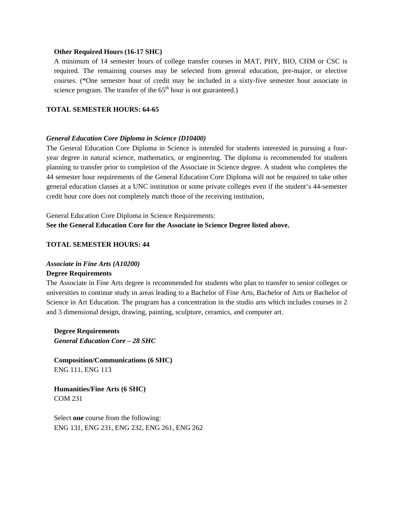#### **Other Required Hours (16-17 SHC)**

A minimum of 14 semester hours of college transfer courses in MAT, PHY, BIO, CHM or CSC is required. The remaining courses may be selected from general education, pre-major, or elective courses. (\*One semester hour of credit may be included in a sixty-five semester hour associate in science program. The transfer of the  $65<sup>th</sup>$  hour is not guaranteed.)

## **TOTAL SEMESTER HOURS: 64-65**

#### *General Education Core Diploma in Science (D10400)*

The General Education Core Diploma in Science is intended for students interested in pursuing a fouryear degree in natural science, mathematics, or engineering. The diploma is recommended for students planning to transfer prior to completion of the Associate in Science degree. A student who completes the 44 semester hour requirements of the General Education Core Diploma will not be required to take other general education classes at a UNC institution or some private colleges even if the student's 44-semester credit hour core does not completely match those of the receiving institution,

General Education Core Diploma in Science Requirements: **See the General Education Core for the Associate in Science Degree listed above.** 

#### **TOTAL SEMESTER HOURS: 44**

#### *Associate in Fine Arts (A10200)*

#### **Degree Requirements**

The Associate in Fine Arts degree is recommended for students who plan to transfer to senior colleges or universities to continue study in areas leading to a Bachelor of Fine Arts, Bachelor of Arts or Bachelor of Science in Art Education. The program has a concentration in the studio arts which includes courses in 2 and 3 dimensional design, drawing, painting, sculpture, ceramics, and computer art.

**Degree Requirements**  *General Education Core – 28 SHC* 

**Composition/Communications (6 SHC)**  ENG 111, ENG 113

**Humanities/Fine Arts (6 SHC)**  COM 231

Select **one** course from the following: ENG 131, ENG 231, ENG 232, ENG 261, ENG 262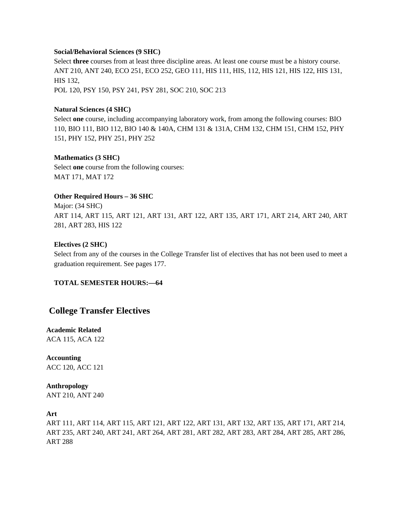#### **Social/Behavioral Sciences (9 SHC)**

Select **three** courses from at least three discipline areas. At least one course must be a history course. ANT 210, ANT 240, ECO 251, ECO 252, GEO 111, HIS 111, HIS, 112, HIS 121, HIS 122, HIS 131, HIS 132, POL 120, PSY 150, PSY 241, PSY 281, SOC 210, SOC 213

## **Natural Sciences (4 SHC)**

Select **one** course, including accompanying laboratory work, from among the following courses: BIO 110, BIO 111, BIO 112, BIO 140 & 140A, CHM 131 & 131A, CHM 132, CHM 151, CHM 152, PHY 151, PHY 152, PHY 251, PHY 252

#### **Mathematics (3 SHC)**

Select **one** course from the following courses: MAT 171, MAT 172

#### **Other Required Hours – 36 SHC**

Major: (34 SHC) ART 114, ART 115, ART 121, ART 131, ART 122, ART 135, ART 171, ART 214, ART 240, ART 281, ART 283, HIS 122

#### **Electives (2 SHC)**

Select from any of the courses in the College Transfer list of electives that has not been used to meet a graduation requirement. See pages 177.

#### **TOTAL SEMESTER HOURS:—64**

## **College Transfer Electives**

## **Academic Related**  ACA 115, ACA 122

**Accounting**  ACC 120, ACC 121

#### **Anthropology**

ANT 210, ANT 240

## **Art**

ART 111, ART 114, ART 115, ART 121, ART 122, ART 131, ART 132, ART 135, ART 171, ART 214, ART 235, ART 240, ART 241, ART 264, ART 281, ART 282, ART 283, ART 284, ART 285, ART 286, ART 288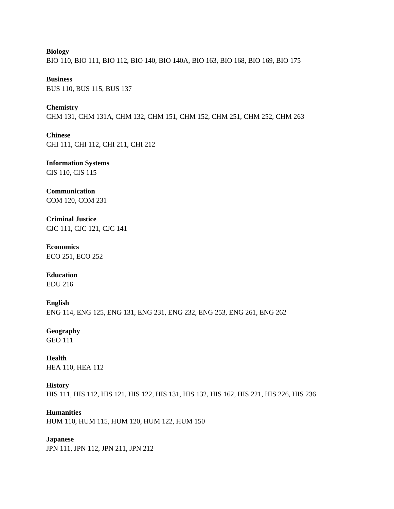**Biology**  BIO 110, BIO 111, BIO 112, BIO 140, BIO 140A, BIO 163, BIO 168, BIO 169, BIO 175

**Business**  BUS 110, BUS 115, BUS 137

**Chemistry**  CHM 131, CHM 131A, CHM 132, CHM 151, CHM 152, CHM 251, CHM 252, CHM 263

**Chinese**  CHI 111, CHI 112, CHI 211, CHI 212

**Information Systems**  CIS 110, CIS 115

**Communication**  COM 120, COM 231

**Criminal Justice**  CJC 111, CJC 121, CJC 141

**Economics**  ECO 251, ECO 252

**Education**  EDU 216

**English**  ENG 114, ENG 125, ENG 131, ENG 231, ENG 232, ENG 253, ENG 261, ENG 262

**Geography**  GEO 111

**Health**  HEA 110, HEA 112

## **History**

HIS 111, HIS 112, HIS 121, HIS 122, HIS 131, HIS 132, HIS 162, HIS 221, HIS 226, HIS 236

## **Humanities**

HUM 110, HUM 115, HUM 120, HUM 122, HUM 150

## **Japanese**

JPN 111, JPN 112, JPN 211, JPN 212